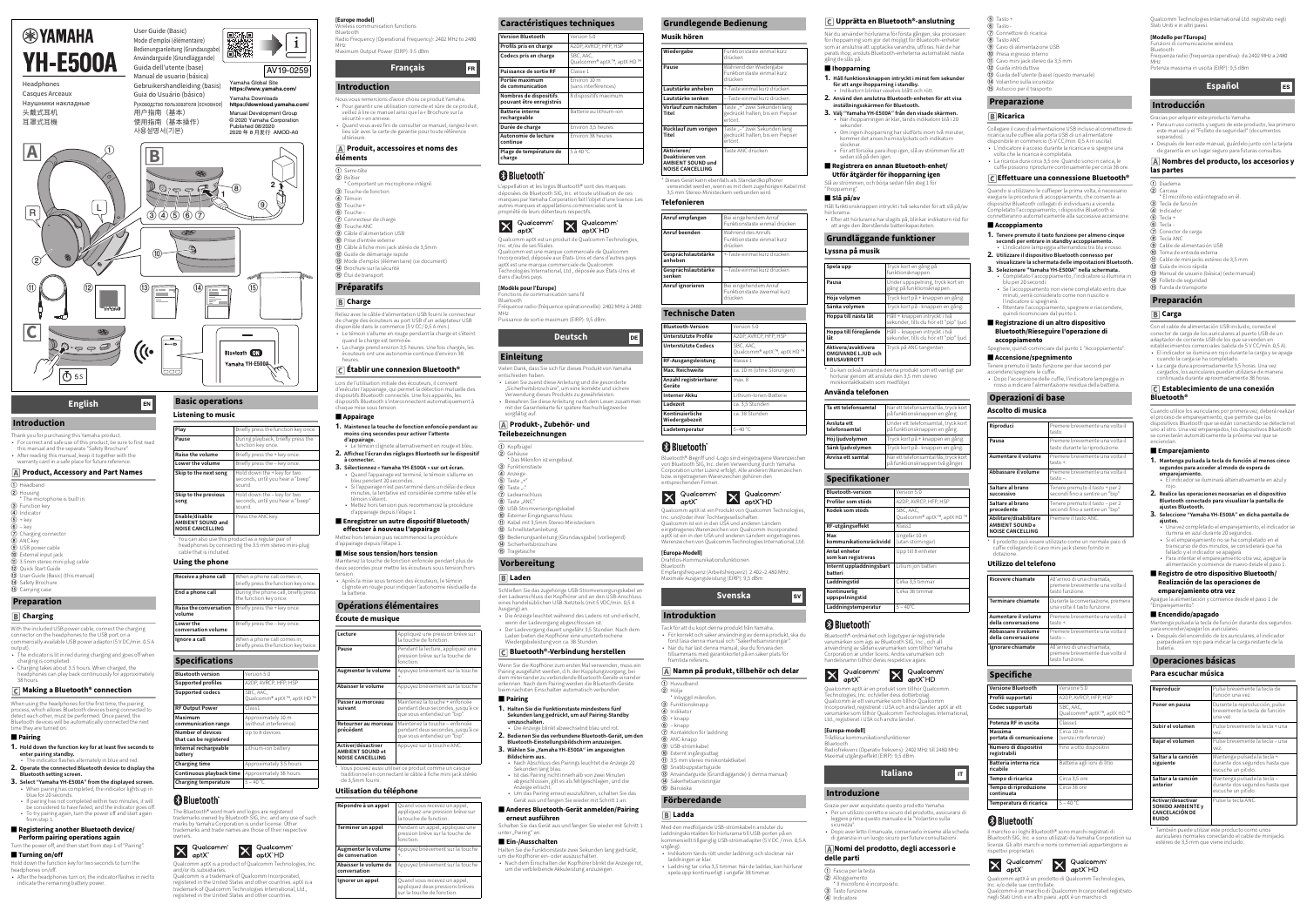Thank you for purchasing this Yamaha product.

• For correct and safe use of this product, be sure to first read this manual and the separate "Safety Brochure". • After reading this manual, keep it together with the warranty card in a safe place for future reference.  **Product, Accessory and Part Names**

S

 $\mathbf{P} = \mathbf{P}$ 

\* The microphone is built in.

**3** User Guide (Basic) (this manual)

• Charging takes about 3.5 hours. When charged, the headphones can play back continuously for approximately

 **Charging**

With the included USB power cable, connect the charging connector on the headphones to the USB port on a commercially available USB power adaptor (5 V DC/min. 0.5 A

indicator flashes alternately in blue and red. 2. **Operate the connected Bluetooth device to display the** 

output).

• The indicator is lit in red during charging and goes off when

charging is completed.

38 hours.

 **Making a Bluetooth® connection** When using the headphones for the first time, the pairing process, which allows Bluetooth devices being connected to detect each other, must be performed. Once paired, the Bluetooth devices will be automatically connected the next

time they are turned on. **■ Pairing**

1. **Hold down the function key for at least five seconds to** 

**enter pairing standby.**

# **EXAMAHA YH-E500A**

Headphones Casques Arceaux Наушники накладные 头戴式耳机

Mode d'emploi (élémentaire) Bedienungsanleitung (Grundausgabe) Användarguide (Grundläggande) Guida dell'utente (base) Manual de usuario (básica) Gebruikershandleiding (basis) Guia do Usuário (básico) Pуководство пользователя (основное) 用户指南(基本) 使用指南(基本操作) 사용설명서(기본)

**Bluetooth setting screen.**

3. **Select "Yamaha YH-E500A" from the displayed screen.** • When pairing has completed, the indicator lights up in

blue for 20 seconds.

• If pairing has not completed within two minutes, it will be considered to have failed, and the indicator goes off. • To try pairing again, turn the power off and start again

 $\textcircled{1}$  Headband  $\circledR$  Housing

 $\circledS$  Function key 4 Indicator  $\circledS$  + key  $\circledast$  – key

 $\circledD$  Charging connector **8** ANC key  $\circledcirc$  USB power cable  $<sup>10</sup>$  External input jack</sup>  $\textcircled{1}$  3.5mm stereo mini plug cable

from step 1.

**■ Registering another Bluetooth device/ Perform pairing operations again** Turn the power off, and then start from step 1 of "Pairing".

**■ Turning on/off**

Hold down the function key for two seconds to turn the

headphones on/off.

• After the headphones turn on, the indicator flashes in red to

**Raise the conversation volume**

indicate the remaining battery power.

**Listening to music**

 You can also use this product as a regular pair of headphones by connecting the 3.5 mm stereo mini-plug

**Receive a phone call** When a phone call comes in

**Ignore a call** When a phone call comes in,

**Supported profiles** A2DP, AVRCP, HFP, HSP

**Supported codecs** SBC, AAC

**RF Output Power Class1** 

**Charging temperature**  $5 - 40$  °C

**End a phone call** During the phone call, briefly press

**Skip to the next song Hold down the + key for two** 

Approximately 10 m  $\dot{}$ ithout interference

cable that is included.**Using the phone**

The Bluetooth® word mark and logos are registered trademarks owned by Bluetooth SIG, Inc. and any use of such marks by Yamaha Corporation is under license. Other trademarks and trade names are those of their respective

**Charging time Approximately 3.5 hours Continuous playback time** Approximately 38 hours

owners.

 $\overline{\mathsf{X}}$ 

Qualcomm aptX is a product of Qualcomm Technologies, Inc.

W Qualcomm<sup>®</sup>

and/or its subsidiaries.

Qualcomm" aptX"



- b Boîtier \* Comportent un microphone intégré.
- 3 Touche de fonction  $^\circledR$ Témoin
- **5** Touche +
- $6$  Touche g Connecteur de charge
- **8** Touche ANC
- **9** Câble d'alimentation USB <sup>10</sup> Prise d'entrée externe
- **11** Câble à fiche mini jack stéréo de 3,5mm
- $^{\textcircled{\tiny{\textregistered}}}$ Guide de démarrage rapide
- **13** Mode d'emploi (élémentaire) (ce document)
- <sup>14</sup> Brochure sur la sécurité
- **15** Étui de transport

Qualcomm is a trademark of Qualcomm Incorporated, registered in the United States and other countries. aptX is a trademark of Qualcomm Technologies International, Ltd., registered in the United States and other countries.

**A**

**C**

R

 $^\copyright$ 

L

耳罩式耳機

User Guide (Basic)

**1**

 $^\circledR$ 



**2**

 $\circledS$ 



**B**

 $\circledR$ 

#### AV19-0259 Yamaha Global Site**https://www.yamaha.com/**

Yamaha Downloads **https://download.yamaha.com/** Manual Development Group © 2020 Yamaha Corporation Published 08/2020

2020 年 8 月发行 AMOD-A0

**English**

 $\textcircled{\tiny{1}}$  (12)  $\textcircled{\tiny{1}}$  (13)

 $\textcircled{1}$ 

**Introduction**

<sup>(2</sup>) Quick Start Guide

14 Safety Brochure **15** Carrying case

**Preparation**

**EN**

 $\mathbf{C}$ 

 $\circledS$   $\circledS$   $\circledS$   $\circledS$ 

 $PQ \rightarrow P$ 

**Basic operations**

 $\Omega$ 

**Pause**

ممه

**Raise the volume**

Briefly press the + key once.

**Lower the volume**

Briefly press the – key once.

 $(15)$ 

- deux secondes pour mettre les écouteurs sous tension/hors tension.• Après la mise sous tension des écouteurs, le témoin
- clignote en rouge pour indiquer l'autonomie résiduelle de la batterie.

sound.

**Skip to the previous** 

**8** Bluetooth L'appellation et les logos Bluetooth® sont des marques

 $5$  à 40 °C

**song**

sound.

Yamaha YH-E500A

**Bluetooth** ON

**Play** Briefly press the function key once

uring playback, briefly press the

onds, until you hear a "beep:

iefly press the function key once

e function key once.

**Enable/disable AMBIENT SOUND and NOISE CANCELLING**

**Lower the conversation volume**

**Specifications**

**Bluetooth version**

Version 5.0

iefly press the + key once

iefly press the – key once

iefly press the function key tw

Qualcomm® aptX ™, aptX HD ™

**Maximum** 

**communication range**

**Number of devices that can be registered**

**& Bluetooth** 

Up to 8 devices

old down the – key for two conds, until you hear a "beep

nction key once.

ess the ANC key.

**Internal rechargeable** 

**battery**

Lithium-ion battery

**[Europe model]**

Bluetooth

Radio Frequency (Operational Frequency): 2402 MHz to 2480

Wenn Sie die Kopfhörer zum ersten Mal verwenden, muss eir Pairing ausgeführt werden, d.h. der Kopplungsvorgang, bei dem miteinander zu verbindende Bluetooth-Geräte einander erkennen. Nach dem Pairing werden die Bluetooth-Geräte beim nächsten Einschalten automatisch verbunden.

MHz

Maximum Output Power (EIRP): 9.5 dBm

Nous vous remercions d'avoir choisi ce produit Yamaha. • Pour garantir une utilisation correcte et sûre de ce produit, veillez à lire ce manuel ainsi que la « Brochure sur la

sécurité » en annexe. • Quand vous avez fini de consulter ce manuel, rangez-le en lieu sûr avec la carte de garantie pour toute référence

> Schalten Sie das Gerät aus und fangen Sie wieder mit Schritt 1 unter "Pairing" an.

ultérieure.

# **Produit, accessoires et noms des éléments**

## **1** Serre-tête

 $\mathbf{X}$  Qualco Qualcomm aptX ist ein Produkt von Qualcomm Technologies,

 **Charge**

Tack för att du köpt denna produkt från Yamaha. • För korrekt och säker användning av denna produkt, ska du först läsa denna manual och "Säkerhetsanvisningar". • När du har läst denna manual, ska du förvara den tillsammans med garantikortet på en säker plats för framtida referen

- Reliez avec le câble d'alimentation USB fourni le connecteur de charge des écouteurs au port USB d'un adaptateur USB
- disponible dans le commerce (5 V CC/ 0,5 A min.). • Le témoin s'allume en rouge pendant la charge et s'éteint
- quand la charge est terminée. • La charge prend environ 3,5 heures. Une fois chargés, les écouteurs ont une autonomie continue d'environ 38
- heures.

\* Inbyggd mikrofon.  $\circledR$  Funktionsknapp

 $\oslash$  Kontaktdon för laddning

**9** USB-strömkabel **10** Externt ingångsuttag

#### $\scriptstyle\textcircled{\tiny{1}}$  3,5 mm stereo minikontaktkabel

<sup>12</sup> Snabbuppstartsguide **13** Användarguide (Grundläggande) (i denna manual) 14 Säkerhetsanvisningar

d Indikator  $\textcircled{\scriptsize{9}}$  + knapp  $\circledast$  – knapp

**8** ANC-knapp

**15** Bärväska

# **Établir une connexion Bluetooth®**

Lors de l'utilisation initiale des écouteurs, il convient d'exécuter l'appairage, qui permet la détection mutuelle des dispositifs Bluetooth connectés. Une fois appairés, les dispositifs Bluetooth s'interconnectent automatiquement à chaque mise sous tension.

#### **■ Appairage**

När du använder hörlurarna för första gången, ska processe för ihopparning som gör det möjligt för Bluetooth-enheter som är anslutna att upptäcka varandra, utföras. När de har parats ihop, ansluts Bluetooth-enheterna automatiskt nästa gång de slås på.

- 1. **Maintenez la touche de fonction enfoncée pendant au moins cinq secondes pour activer l'attente d'appairage.**
- Le témoin clignote alternativement en rouge et bleu. 2. **Affichez l'écran des réglages Bluetooth sur le dispositif à connecter.**
- 1. **Håll funktionsknappen intryckt i minst fem sekunder för att ange ihopparning i standby.**
- Indikatorn blinkar växelvis blått och rött.2. **Använd den anslutna Bluetooth-enheten för att visa**
- **inställningsskärmen för Bluetooth.**
- 3. **Välj "Yamaha YH-E500A" från den visade skärmen.** • När ihopparningen är klar, tänds indikatorn blå i 20 sekunder.
- Om ingen ihopparning har slutförts inom två minuter, kommer det anses ha misslyckats och indikatorn slocknar.• För att försöka para ihop igen, slå av strömmen för att
- sedan slå på den igen

#### 3. **Sélectionnez « Yamaha YH-E500A » sur cet écran.** • Quand l'appairage est terminé, le témoin s'allume en

**Utför åtgärder för ihopparning igen** Slå av strömmen, och börja sedan från steg 1 fö

- bleu pendant 20 secondes. • Si l'appairage n'est pas terminé dans un délai de deux
- minutes, la tentative est considérée comme ratée et le témoin s'éteint.• Mettez hors tension puis recommencez la procédure
- d'appairage depuis l'étape 1.

#### **■ Enregistrer un autre dispositif Bluetooth/ effectuer à nouveau l'appairage**

Mettez hors tension puis recommencez la procédure d'appairage depuis l'étape 1.

## ■ **Mise sous tension/hors tension**

Maintenez la touche de fonction enfoncée pendant plus de

#### **Écoute de musique**

\*

 Vous pouvez aussi utiliser ce produit comme un casque traditionnel en connectant le câble à fiche mini jack stéréo de 3,5mm fourni.

#### **Utilisation du téléphone**

déposées de Bluetooth SIG, Inc. et toute utilisation de ces marques par Yamaha Corporation fait l'objet d'une licence. Les autres marques et appellations commerciales sont la propriété de leurs détenteurs respectifs.





Qualcomm est une marque commerciale de Qualcomm Incorporated, déposée aux États-Unis et dans d'autres pays. Fechnologies International, Ltd., déposée aux États-Unis et dans d'autres pays.

#### **[Modèle pour l'Europe]** Fonctions de communication sans fil

Bluetooth

 Fréquence radio (fréquence opérationnelle): 2402 MHz à 2480 Puissance de sortie maximum (EIRP): 9,5 dBm

MHz

Vielen Dank, dass Sie sich für dieses Produkt von Yamaha

entschieden haben.

• Lesen Sie zuerst diese Anleitung und die gesonderte "Sicherheitsbroschüre", um eine korrekte und sichere Verwendung dieses Produkts zu gewährleisten. • Bewahren Sie diese Anleitung nach dem Lesen zusammen mit der Garantiekarte für spätere Nachschlagzwecke

> Il prodotto può essere utilizzato come un normale paio di cuffie collegando il cavo mini jack stereo fornito in dotazione

sorgfältig auf.

 $\textcircled{1}$  Kopfbügel 2 Gehäuse

 $^\circledR$ 

 $^\text{\textregistered}$ 

3 Funktionstaste  $\textcircled{4}$  Anzeige  $\textcircled{\small{5}}$  Taste "+"  $\circledast$  Taste "-"  $\oslash$  Ladeanschluss

Taste "ANC"

 **Produkt-, Zubehör- und Teilebezeichnungen**

\* Das Mikrofon ist eingebaut.

**9** USB-Stromversorgungskabel **10** Externer Eingangsanschluss

<sup>12</sup> Schnellstartanleitung

14 Sicherheitsbroschüre **15** Tragetasche

 **Laden**

**las partes**  $\textcircled{1}$  Diadema 2 Carcasa

 $^\circledR$ 

3 Tecla de función 4 Indicador  $\circledS$  Tecla +  $\circledast$  Tecla - $\circledD$  Conector de carga **8** Tecla ANC

**9** Cable de alimentación USB **10** Toma de entrada externa

Schließen Sie das zugehörige USB-Stromversorgungskabel an den Ladeanschluss der Kopfhörer und an den USB-Anschluss eines handelsüblichen USB-Netzteils (mit 5 VDC/min. 0,5 A

<sup>12</sup> Guía de inicio rápida

14 Folleto de seguridad **15** Funda de transporte

Ausgang) an.

Kabel mit 3,5mm Stereo-Ministeckerr

<sup>3</sup> Bedienungsanleitung (Grundausgabe) (vorliegend)

• Die Anzeige leuchtet während des Ladens rot und erlischt,

wenn der Ladevorgang abgeschlossen ist. • Der Ladevorgang dauert ungefähr 3,5 Stunden. Nach dem Laden bieten die Kopfhörer eine ununterbrochene Wiedergabeleistung von ca. 38 Stunden.

#### **Bluetooth®-Verbindung herstellen**

#### **■ Pairing**

■ **Registro de otro dispositivo Bluetooth/ Realización de las operaciones de emparejamiento otra vez**

- 1. **Halten Sie die Funktionstaste mindestens fünf Sekunden lang gedrückt, um auf Pairing-Standby umzuschalten.** Die Anzeige blinkt abwechselnd blau und rot.
- 2. **Bedienen Sie das verbundene Bluetooth-Gerät, um den Bluetooth-Einstellungsbildschirm anzuzeigen.**
- 3. **Wählen Sie "Yamaha YH-E500A" im angezeigten Bildschirm aus.**
- Nach Abschluss des Pairings leuchtet die Anzeige 20 Sekunden lang blau. • Ist das Pairing nicht innerhalb von zwei Minuten abgeschlossen, gilt es als fehlgeschlagen, und die
- Um das Pairing erneut auszuführen, schalten Sie das
- Gerät aus und fangen Sie wieder mit Schritt 1 an. **■ Anderes Bluetooth-Gerät anmelden/Pairing**

Anzeige erlischt.

# **erneut ausführen**

# **■ Ein-/Ausschalten**

Halten Sie die Funktionstaste zwei Sekunden lang gedrückt, um die Kopfhörer ein- oder auszuschalten.

• Nach dem Einschalten der Kopfhörer blinkt die Anzeige rot, um die verbleibende Akkuleistung anzuzeigen.

**Musik hören**

\* Dieses Gerät kann ebenfalls als Standardkopfhörer verwendet werden, wenn es mit dem zugehörigen Kabel mit 3,5 mm Stereo-Ministeckern verbunden wird.

#### **Telefonieren**

Bluetooth®-Begriff und -Logo sind eingetragene Warenzeichen von Bluetooth SIG, Inc. deren Verwendung durch Yamaha Corporation unter Lizenz erfolgt. Alle anderen Warenzeichen bzw. eingetragenen Warenzeichen gehören den



W Qualcomm

entsprechenden Firmen.

Inc. und/oder ihrer Tochtergesellschaften. Qualcomm ist ein in den USA und anderen Ländern eingetragenes Warenzeichen von Qualcomm Incorporated. aptX ist ein in den USA und anderen Ländern eingetragenes

Warenzeichen von Qualcomm Technologies International, Ltd. **[Europa-Modell]** Drahtlos-Kommunikationsfunktionen Bluetooth

- 
- 

 $\textcircled{1}$  Huvudband  $@$  Hölje

Empfangsfrequenz (Arbeitsfrequenz): 2.402–2.480 MHz

Maximale Ausgangsleistung (EIRP): 9,5 dBm

**Max. Reichwe Anzahl registi Geräte** 

**Interner Akku LadezeitKontinuierliche Wiedergabez** 

# **83 Bluetooth**

#### **Namn på produkt, tillbehör och delar**

 **Ladda**

Med den medföljande USB-strömkabeln ansluter du laddningskontakten för hörlurarna till USB-porten på en kommersiellt tillgänglig USB-strömadapter (5 V DC / min. 0,5 A

• Indikatorn tänds rött under laddning och slocknar när



- -
	- Laddning tar cirka 3,5 timmar. När de laddas, kan hörlurar spela upp kontinuerligt i ungefär 38 timmar.

 **Upprätta en Bluetooth®-anslutning**

**■ Ihopparning**

Mantenga pulsada la tecla + urante dos segundos hasta que

**Activar/desactivar**  SONIDO AMBIENTE y<br>CANCELACIÓN DE

**■ Registrera en annan Bluetooth-enhet/**

#### "Ihopparning".

# **■ Slå på/av**

Håll funktionsknappen intryckt i två sekunder för att slå på/av hörlurarna.

#### • Efter att hörlurarna har slagits på, blinkar indikatorn röd för att ange den återstående batterikapaciteten.

#### **Lyssna på musik**

\* Du kan också använda denna produkt som ett vanligt par hörlurar genom att ansluta den 3,5 mm stereo minikontaktkabeln som medföljer.

#### **Använda telefonen**

Bluetooth®-ordmärket och logotyper är registrerade varumärken som ägs av Bluetooth SIG, Inc., och all användning av sådana varumärken som tillhör Yamaha Corporation är under licens. Andra varumärken och handelsnamn tillhör deras respektive ägare.



Qualcomm aptX är en produkt som tillhör Qualcomm echnologies, Inc. och/eller dess dotterbolag. Qualcomm är ett varumärke som tillhör Qualco Incorporated, registrerat i USA och andra länder. aptX är ett varumärke som tillhör Qualcomm Technologies International, Ltd., registrerat i USA och andra länder.

**[Europa-modell]** Trådlösa kommunikationsfunktioner

BluetoothRadiofrekvens (Operativ frekvens): 2402 MHz till 2480 MHz

- Grazie per aver acquistato questo prodotto Yamaha. • Per un utilizzo corretto e sicuro del prodotto, assicurarsi di leggere prima questo manuale e la "Volantino sulla
- sicurezza".• Dopo aver letto il manuale, conservarlo insieme alla scheda
- di garanzia in un luogo sicuro per future consultazioni. **Nomi del prodotto, degli accessori e**
- **delle parti**

# $\textcircled{1}$  Fascia per la testa

- 2 Alloggiamento \* Il microfono è incorporato.
- 3 Tasto funzione
- 4 Indicatore

 $^\circledR$  Tasto -  $\oslash$  Connettore di ricarica

**5** Tasto +

- **8** Tasto ANC
- **9** Cavo di alimentazione USB
- **10** Presa ingresso interno
- $\scriptstyle\rm I\!D$  Cavo mini jack stereo da 3,5 mm 12 Guida introduttiva
- **13** Guida dell'utente (base) (questo manuale) 14 Volantino sulla sicurezza
- **15** Astuccio per il trasporto

#### **Ricarica**

- Collegare il cavo di alimentazione USB incluso al connettore di ricarica sulle cuffiee alla porta USB di un alimentatore
- disponibile in commercio (5 V CC/min. 0,5 A in uscita). • L'indicatore è acceso durante la ricarica e si spegne una
- volta che la ricarica è completata. • La ricarica dura circa 3,5 ore. Quando sono in carica, le

cuffie possono riprodurre continuamente per circa 38 ore. **Effettuare una connessione Bluetooth®**

Quando si utilizzano le cuffieper la prima volta, è necessario eseguire la procedura di accoppiamento, che consente ai dispositivi Bluetooth collegati di individuarsi a vicenda. Completato l'accoppiamento, i dispositivi Bluetooth si

#### connetteranno automaticamente alla successiva accensione.**■ Accoppiamento**

- 1. **Tenere premuto il tasto funzione per almeno cinque secondi per entrare in standby accoppiamento.**
- L'indicatore lampeggia alternandosi tra blu e rosso. 2. **Utilizzare il dispositivo Bluetooth connesso per**
- **visualizzare la schermata delle impostazioni Bluetooth.** 3. **Selezionare "Yamaha YH-E500A" nella schermata.** • Completato l'accoppiamento, l'indicatore si illumina in blu per 20 secondi. • Se l'accoppiamento non viene completato entro due minuti, verrà considerato come non riuscito e
- l'indicatore si spegnerà. • Ritentare l'accoppiamento, spegnere e riaccendere, quindi ricominciare dal punto : **■ Registrazione di un altro dispositivo**

## **Bluetooth/Rieseguire l'operazione di accoppiamento**

#### **Ascolto di musica**

#### **Utilizzo del telefono**

Il marchio e i loghi Bluetooth® sono marchi registrati di Bluetooth SIG, Inc. e sono utilizzati da Yamaha Corporation su licenza. Gli altri marchi e nomi commerciali appartengono ai rispettivi proprietari.

Qualcomm aptX è un prodotto di Qualcomm Technologies,

Inc. e/o delle sue controllate.

We Qualcomm

Qualcomm è un marchio di Qualcomm Incorporated registrato negli Stati Uniti e in altri paesi. aptX è un marchio di

W Qualcomm<sup>\*</sup>

Qualcomm Technologies International Ltd. registrato negli

Stati Uniti e in altri paesi. **[Modello per l'Europa]**

Bluetooth

Frequenza radio (frequenza operativa): da 2402 MHz a 2480

MHz

anzioni di comunicazione wireles

Potenza massima in uscita (EIRP): 9,5 dBm

Gracias por adquirir este producto Yamaha.

• Para un uso correcto y seguro de este producto, lea primero este manual y el "Folleto de seguridad" (documentos

separados).

• Después de leer este manual, guárdelo junto con la tarjeta de garantía en un lugar seguro para futuras consultas.  **Nombres del producto, los accesorios y** 

\* El micrófono está integrado en él.

Cable de minijacks estéreo de 3,5 mm

**13** Manual de usuario (básica) (este manual)

 **Carga**

Con el cable de alimentación USB incluido, conecte el conector de carga de los auriculares al puerto USB de un adaptador de corriente USB de los que se venden en establecimientos comerciales (salida de 5 V CC/mín. 0,5 A). • El indicador se ilumina en rojo durante la carga y se apaga

cuando la carga se ha completado.

• La carga dura aproximadamente 3,5 horas. Una vez cargados, los auriculares pueden utilizarse de manera continuada durante aproximadamente 38 horas.  **Establecimiento de una conexión** 

**Bluetooth®**

Cuando utilice los auriculares por primera vez, deberá realizar el proceso de emparejamiento, que permite que los dispositivos Bluetooth que se están conectando se detecten el uno al otro. Una vez emparejados, los dispositivos Bluetooth se conectarán automáticamente la próxima vez que se

enciendan.

**■ Emparejamiento**

1. **Mantenga pulsada la tecla de función al menos cinco segundos para acceder al modo de espera de** 

**emparejamiento.**

• El indicador se iluminará alternativamente en azul y

rojo.

2. **Realice las operaciones necesarias en el dispositivo Bluetooth conectado para visualizar la pantalla de** 

**ajustes Bluetooth.**

3. **Seleccione "Yamaha YH-E500A" en dicha pantalla de** 

**ajustes.**

# Maximal utgångseffekt (EIRP): 9,5 dBm **Italiano**

• Una vez completado el emparejamiento, el indicador se

ilumina en azul durante 20 segundos. • Si el emparejamiento no se ha completado en el transcurso de dos minutos, se considerará que ha

fallado y el indicador se apagará.

• Para intentar el emparejamiento otra vez, apague la alimentación y comience de nuevo desde el paso 1.

Apague la alimentación y comience desde el paso 1 de

"Emparejamiento". **■ Encendido/apagado**

Mantenga pulsada la tecla de función durante dos segundos

para encender/apagar los auriculares.

• Después del encendido de los auriculares, el indicador parpadeará en rojo para indicar la carga restante de la

batería.

**Para escuchar música**

\* También puede utilizar este producto como unos auriculares normales conectando el cable de minijacks

estéreo de 3,5 mm que viene incluido.

# **Français Introduction**

less communication functions

## **Préparatifs**

# **Opérations élémentaires**

- Spegnere, quindi cominciare dal punto 1 "Accoppiamento". **■ Accensione/spegnimento**
- Tenere premuto il tasto funzione per due secondi per
- accendere/spegnere le cuffie. • Dopo l'accensione delle cuffie, l'indicatore lampeggia in rosso a indicare l'alimentazione residua della batteria.
- **Operazioni di base**

| Lecture                                                                  | Appliquez une pression brève sur<br>la touche de fonction.                                          |
|--------------------------------------------------------------------------|-----------------------------------------------------------------------------------------------------|
| Pause                                                                    | Pendant la lecture, appliquez une<br>pression brève sur la touche de<br>fonction.                   |
| Augmenter le volume                                                      | Appuyez brièvement sur la touche<br>$+$ .                                                           |
| Abaisser le volume                                                       | Appuyez brièvement sur la touche                                                                    |
| Passer au morceau<br>suivant                                             | Maintenez la touche + enfoncée<br>pendant deux secondes, jusqu'à ce<br>que vous entendiez un "bip". |
| Retourner au morceau<br>précédent                                        | Maintenez la touche – enfoncée<br>pendant deux secondes, jusqu'à ce<br>que vous entendiez un "bip". |
| Activer/désactiver<br><b>AMBIENT SOUND et</b><br><b>NOISE CANCELLING</b> | Appuyez sur la touche ANC.                                                                          |

| Répondre à un appel                    | Quand vous recevez un appel,<br>appliquez une pression brève sur<br>la touche de fonction. |
|----------------------------------------|--------------------------------------------------------------------------------------------|
| Terminer un appel                      | Pendant un appel, appliquez une<br>pression brève sur la touche de<br>fonction.            |
| Augmenter le volume<br>de conversation | Appuyez brièvement sur la touche<br>$^{+}$                                                 |
| Abaisser le volume de<br>conversation  | Appuyez brièvement sur la touche                                                           |
| Ignorer un appel                       | Quand vous recevez un appel,<br>appliquez deux pressions brèves                            |

ur la touche de fonction

**FR**

# **Caractéristiques techniques**

| Version Bluetooth                                  | Version 5.0                              |
|----------------------------------------------------|------------------------------------------|
| Profils pris en charge                             | A2DP, AVRCP, HFP, HSP                    |
| Codecs pris en charge                              | SBC, AAC,<br>Qualcomm® aptX ™, aptX HD ™ |
| Puissance de sortie RF                             | Classe 1                                 |
| Portée maximum<br>de communication                 | Environ 10 m<br>(sans interférences)     |
| Nombres de dispositifs<br>pouvant être enregistrés | 8 dispositifs maximum                    |
| Batterie interne<br>rechargeable                   | Batterie au lithium-ion                  |
| Durée de charge                                    | Environ 3,5 heures                       |
| Autonomie de lecture<br>continue                   | Environ 38 heures                        |

**Plage de température de** 

**charge**









**Deutsch**

**Einleitung**

**Vorbereitung**

**DE**

**Unterstützte RF-Ausgangs** 

#### **Grundlegende Bedienung**

| Wiedergabe                                                                             | Funktionstaste einmal kurz<br>drücken                                       |
|----------------------------------------------------------------------------------------|-----------------------------------------------------------------------------|
| Pause                                                                                  | Während der Wiedergabe<br>Funktionstaste einmal kurz<br>drücken             |
| Lautstärke anheben                                                                     | +-Taste einmal kurz drücken                                                 |
| Lautstärke senken                                                                      | –-Taste einmal kurz drücken                                                 |
| Vorlauf zum nächsten<br><b>Titel</b>                                                   | Taste "+" zwei Sekunden lang<br>gedrückt halten, bis ein Piepser<br>ertönt. |
| Rücklauf zum vorigen<br>Titel                                                          | Taste "-" zwei Sekunden lang<br>gedrückt halten, bis ein Piepser<br>ertönt. |
| Aktivieren/<br>Deaktivieren von<br><b>AMBIENT SOUND und</b><br><b>NOISE CANCELLING</b> | Taste ANC drücken                                                           |

| Anruf empfangen                | Bei eingehendem Anruf<br>Funktionstaste einmal drücken          |
|--------------------------------|-----------------------------------------------------------------|
| Anruf beenden                  | Während des Anrufs<br>Funktionstaste einmal kurz<br>drücken     |
| Gesprächslautstärke<br>anheben | +-Taste einmal kurz drücken                                     |
| Gesprächslautstärke<br>senken  | --Taste einmal kurz drücken                                     |
| Anruf ignorieren               | Bei eingehendem Anruf<br>Funktionstaste zweimal kurz<br>drücken |

#### **Technische Daten**

| .                    |
|----------------------|
| <b>Bluetooth-Ver</b> |

| <b>Bluetooth-Version</b>          | Version 5.0                              |
|-----------------------------------|------------------------------------------|
| Unterstützte Profile              | A2DP, AVRCP, HFP, HSP                    |
| Unterstützte Codecs               | SBC, AAC,<br>Qualcomm® aptX ™, aptX HD ™ |
| RF-Ausgangsleistung               | Klasse 1                                 |
| Max. Reichweite                   | ca. 10 m (ohne Störungen)                |
| Anzahl registrierbarer<br>Geräte  | max. 8                                   |
| Interner Akku                     | Lithium-Ionen-Batterie                   |
| Ladezeit                          | ca. 3,5 Stunden                          |
| Kontinuierliche<br>Wiedergabezeit | ca. 38 Stunden                           |
| Ladetemperatur                    | 5-40 °C                                  |



#### **Introduktion**

# **Förberedande**

**SV**

**Grundläggande funktioner**

| Spela upp                                                              | Tryck kort en gång på                                                   |
|------------------------------------------------------------------------|-------------------------------------------------------------------------|
|                                                                        | funktionsknappen.                                                       |
| Pausa                                                                  | Under uppspelning, tryck kort en<br>gång på funktionsknappen.           |
| Höja volymen                                                           | Tryck kort på + knappen en gång.                                        |
| Sänka volymen                                                          | Tryck kort på - knappen en gång.                                        |
| Hoppa till nästa låt                                                   | Håll + knappen intryckt i två<br>sekunder, tills du hör ett "pip" ljud  |
| Hoppa till föregående<br>låt                                           | Håll – knappen intryckt i två<br>sekunder, tills du hör ett "pip" ljud. |
| Aktivera/avaktivera<br><b>OMGIVANDE LJUD och</b><br><b>BRUSAVBROTT</b> | Tryck på ANC-tangenten.                                                 |

| Ta ett telefonsamtal         | När ett telefonsamtal fås, tryck kort<br>på funktionsknappen en gång.    |
|------------------------------|--------------------------------------------------------------------------|
| Avsluta ett<br>telefonsamtal | Under ett telefonsamtal, tryck kort<br>på funktionsknappen en gång.      |
| Höj ljudvolymen              | Tryck kort på + knappen en gång.                                         |
| Sänk ljudvolymen             | Tryck kort på - knappen en gång.                                         |
| Avvisa ett samtal            | När ett telefonsamtal fås, tryck kort<br>på funktionsknappen två gånger. |

#### **Specifikationer**

| Bluetooth-version                    | Version 5.0                              |
|--------------------------------------|------------------------------------------|
| Profiler som stöds                   | A2DP, AVRCP, HFP, HSP                    |
| Kodek som stöds                      | SBC, AAC,<br>Qualcomm® aptX ™, aptX HD ™ |
| RF-utgångseffekt                     | Klass1                                   |
| Max<br>kommunikationsräckvidd        | Ungefär 10 m<br>(utan störningar)        |
| Antal enheter<br>som kan registreras | Upp till 8 enheter                       |
| Internt uppladdningsbart<br>batteri  | Litium jon batteri                       |
| Laddningstid                         | Cirka 3,5 timmar                         |
| Kontinuerlig<br>uppspelningstid      | Cirka 38 timmar                          |
| Laddningstemperatur                  | $5 - 40^{\circ}$ C                       |
|                                      |                                          |

#### **&Bluetooth®**

#### **Introduzione**

**IT**

#### **Preparazione**

| Riproduci                                                                | Premere brevemente una volta il<br>tasto.                          |
|--------------------------------------------------------------------------|--------------------------------------------------------------------|
| Pausa                                                                    | Premere brevemente una volta il<br>tasto durante la riproduzione.  |
| Aumentare il volume                                                      | Premere brevemente una volta il<br>tasto +.                        |
| Abbassare il volume                                                      | Premere brevemente una volta il<br>tasto -.                        |
| Saltare al brano<br>successivo                                           | Tenere premuto il tasto + per 2<br>secondi fino a sentire un "bip" |
| Saltare al brano<br>precedente                                           | Tenere premuto il tasto - per 2<br>secondi fino a sentire un "bip" |
| Abilitare/disabilitare<br><b>AMBIENT SOUND e</b><br>NOISE CANCELLING     | Premere il tasto ANC.                                              |
| نام منعم واحصرهم مسجمين ومحووم والمحوناناتين ويوموه لأسمر واللواموس البر |                                                                    |

| Ricevere chiamate                          | All'arrivo di una chiamata,<br>premere brevemente una volta il<br>tasto funzione. |
|--------------------------------------------|-----------------------------------------------------------------------------------|
| Terminare chiamate                         | Durante la conversazione, premere<br>una volta il tasto funzione.                 |
| Aumentare il volume<br>della conversazione | Premere brevemente una volta il<br>$tasto +$                                      |
| Abbassare il volume<br>della conversazione | Premere brevemente una volta il<br>$tasto -$                                      |
| Ignorare chiamate                          | All'arrivo di una chiamata,<br>premere brevemente due volte il<br>tasto funzione. |

#### **Specifiche**

| <b>Versione Bluetooth</b>             | Versione 5.0                             |
|---------------------------------------|------------------------------------------|
| Profili supportati                    | A2DP, AVRCP, HFP, HSP                    |
| Codec supportati                      | SBC, AAC,<br>Qualcomm® aptX ™, aptX HD ™ |
| Potenza RF in uscita                  | Classe1                                  |
| Massima<br>portata di comunicazione   | Circa 10 m<br>(senza interferenze)       |
| Numero di dispositivi<br>registrabili | Fino a otto dispositivi                  |
| Batteria interna rica<br>ricabile     | Batteria agli ioni di litio              |
| Tempo di ricarica                     | Circa 3,5 ore                            |
| Tempo di riproduzione<br>continuata   | Circa 38 ore                             |
| Temperatura di ricarica               | $5 - 40$ °C.                             |
|                                       |                                          |

# **83 Bluetooth**®

**Español**

**Introducción**

**Preparación**

**Operaciones básicas**

**Reproducir** Pulse brevemente la tecla de

**Poner en pausa Durante la reproducción, pulse** 

función una vez.

evemente la tecla de función

una vez.

**Subir el volumen**

Pulse brevemente la tecla + una

vez. **Bajar el volumen** Pulse brevemente la tecla – una vez.

**Saltar a la canción siguiente**

**Saltar a la canción anterior**

Mantenga pulsada la tecla – durante dos segundos hasta que

scuche un pitido.

scuche un pitido.

ulse la tecla ANC

**RUIDO**

**ES**